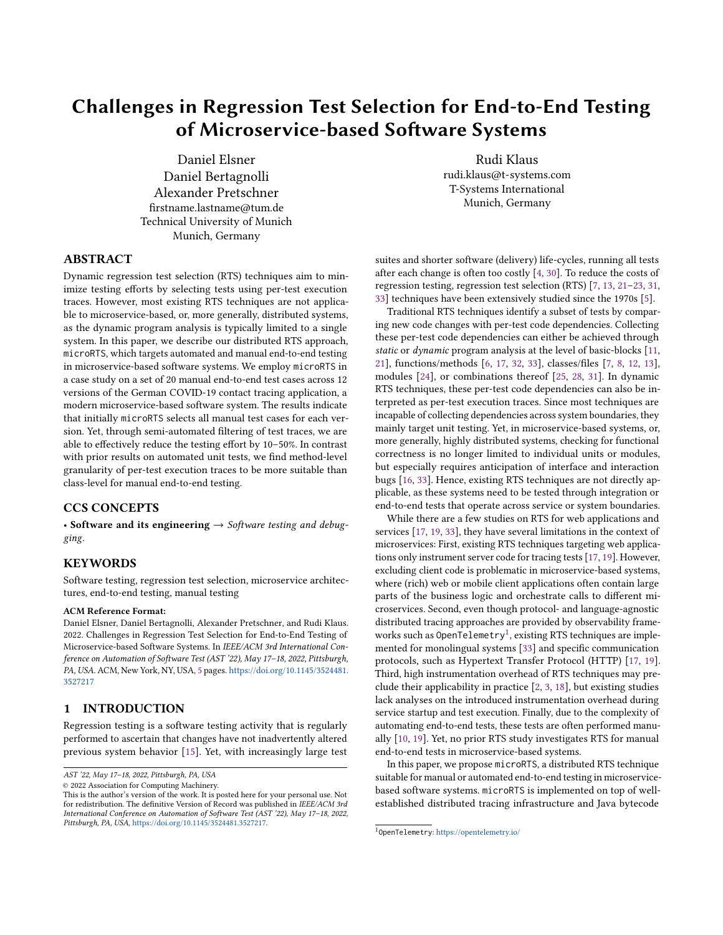# Challenges in Regression Test Selection for End-to-End Testing of Microservice-based Software Systems

Daniel Elsner Daniel Bertagnolli Alexander Pretschner firstname.lastname@tum.de Technical University of Munich Munich, Germany

Rudi Klaus rudi.klaus@t-systems.com T-Systems International Munich, Germany

## ABSTRACT

Dynamic regression test selection (RTS) techniques aim to minimize testing efforts by selecting tests using per-test execution traces. However, most existing RTS techniques are not applicable to microservice-based, or, more generally, distributed systems, as the dynamic program analysis is typically limited to a single system. In this paper, we describe our distributed RTS approach, microRTS, which targets automated and manual end-to-end testing in microservice-based software systems. We employ microRTS in a case study on a set of 20 manual end-to-end test cases across 12 versions of the German COVID-19 contact tracing application, a modern microservice-based software system. The results indicate that initially microRTS selects all manual test cases for each version. Yet, through semi-automated filtering of test traces, we are able to effectively reduce the testing effort by 10–50%. In contrast with prior results on automated unit tests, we find method-level granularity of per-test execution traces to be more suitable than class-level for manual end-to-end testing.

#### CCS CONCEPTS

• Software and its engineering  $\rightarrow$  Software testing and debugging.

## **KEYWORDS**

Software testing, regression test selection, microservice architectures, end-to-end testing, manual testing

#### ACM Reference Format:

Daniel Elsner, Daniel Bertagnolli, Alexander Pretschner, and Rudi Klaus. 2022. Challenges in Regression Test Selection for End-to-End Testing of Microservice-based Software Systems. In IEEE/ACM 3rd International Conference on Automation of Software Test (AST '22), May 17–18, 2022, Pittsburgh, PA, USA. ACM, New York, NY, USA, [5](#page-4-0) pages. [https://doi.org/10.1145/3524481.](https://doi.org/10.1145/3524481.3527217) [3527217](https://doi.org/10.1145/3524481.3527217)

## 1 INTRODUCTION

Regression testing is a software testing activity that is regularly performed to ascertain that changes have not inadvertently altered previous system behavior [\[15\]](#page-4-1). Yet, with increasingly large test

© 2022 Association for Computing Machinery.

suites and shorter software (delivery) life-cycles, running all tests after each change is often too costly [\[4,](#page-4-2) [30\]](#page-4-3). To reduce the costs of regression testing, regression test selection (RTS) [\[7,](#page-4-4) [13,](#page-4-5) [21](#page-4-6)[–23,](#page-4-7) [31,](#page-4-8) [33\]](#page-4-9) techniques have been extensively studied since the 1970s [\[5\]](#page-4-10).

Traditional RTS techniques identify a subset of tests by comparing new code changes with per-test code dependencies. Collecting these per-test code dependencies can either be achieved through static or dynamic program analysis at the level of basic-blocks [\[11,](#page-4-11) [21\]](#page-4-6), functions/methods [\[6,](#page-4-12) [17,](#page-4-13) [32,](#page-4-14) [33\]](#page-4-9), classes/files [\[7,](#page-4-4) [8,](#page-4-15) [12,](#page-4-16) [13\]](#page-4-5), modules [\[24\]](#page-4-17), or combinations thereof [\[25,](#page-4-18) [28,](#page-4-19) [31\]](#page-4-8). In dynamic RTS techniques, these per-test code dependencies can also be interpreted as per-test execution traces. Since most techniques are incapable of collecting dependencies across system boundaries, they mainly target unit testing. Yet, in microservice-based systems, or, more generally, highly distributed systems, checking for functional correctness is no longer limited to individual units or modules, but especially requires anticipation of interface and interaction bugs [\[16,](#page-4-20) [33\]](#page-4-9). Hence, existing RTS techniques are not directly applicable, as these systems need to be tested through integration or end-to-end tests that operate across service or system boundaries.

While there are a few studies on RTS for web applications and services [\[17,](#page-4-13) [19,](#page-4-21) [33\]](#page-4-9), they have several limitations in the context of microservices: First, existing RTS techniques targeting web applications only instrument server code for tracing tests [\[17,](#page-4-13) [19\]](#page-4-21). However, excluding client code is problematic in microservice-based systems, where (rich) web or mobile client applications often contain large parts of the business logic and orchestrate calls to different microservices. Second, even though protocol- and language-agnostic distributed tracing approaches are provided by observability frame-works such as OpenTelemetry<sup>[1](#page-0-0)</sup>, existing RTS techniques are implemented for monolingual systems [\[33\]](#page-4-9) and specific communication protocols, such as Hypertext Transfer Protocol (HTTP) [\[17,](#page-4-13) [19\]](#page-4-21). Third, high instrumentation overhead of RTS techniques may preclude their applicability in practice [\[2,](#page-4-22) [3,](#page-4-23) [18\]](#page-4-24), but existing studies lack analyses on the introduced instrumentation overhead during service startup and test execution. Finally, due to the complexity of automating end-to-end tests, these tests are often performed manually [\[10,](#page-4-25) [19\]](#page-4-21). Yet, no prior RTS study investigates RTS for manual end-to-end tests in microservice-based systems.

In this paper, we propose microRTS, a distributed RTS technique suitable for manual or automated end-to-end testing in microservicebased software systems. microRTS is implemented on top of wellestablished distributed tracing infrastructure and Java bytecode

AST '22, May 17–18, 2022, Pittsburgh, PA, USA

This is the author's version of the work. It is posted here for your personal use. Not for redistribution. The definitive Version of Record was published in IEEE/ACM 3rd International Conference on Automation of Software Test (AST '22), May 17–18, 2022, Pittsburgh, PA, USA, [https://doi.org/10.1145/3524481.3527217.](https://doi.org/10.1145/3524481.3527217)

<span id="page-0-0"></span><sup>1</sup> OpenTelemetry: <https://opentelemetry.io/>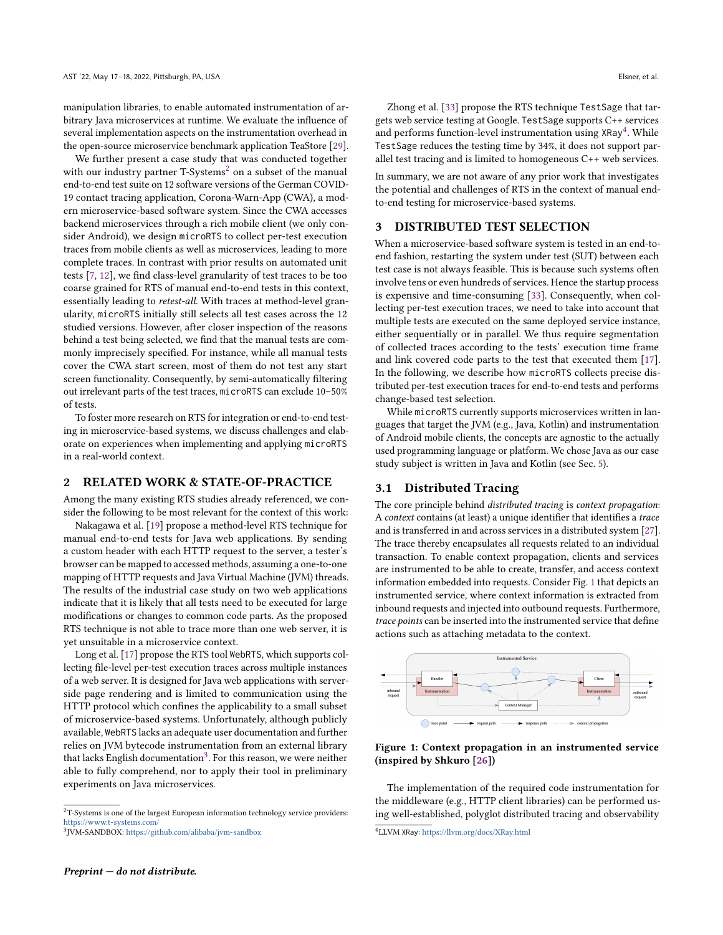manipulation libraries, to enable automated instrumentation of arbitrary Java microservices at runtime. We evaluate the influence of several implementation aspects on the instrumentation overhead in the open-source microservice benchmark application TeaStore [\[29\]](#page-4-26).

We further present a case study that was conducted together with our industry partner  $T-*S*$ ystems<sup>[2](#page-1-0)</sup> on a subset of the manual end-to-end test suite on 12 software versions of the German COVID-19 contact tracing application, Corona-Warn-App (CWA), a modern microservice-based software system. Since the CWA accesses backend microservices through a rich mobile client (we only consider Android), we design microRTS to collect per-test execution traces from mobile clients as well as microservices, leading to more complete traces. In contrast with prior results on automated unit tests [\[7,](#page-4-4) [12\]](#page-4-16), we find class-level granularity of test traces to be too coarse grained for RTS of manual end-to-end tests in this context, essentially leading to retest-all. With traces at method-level granularity, microRTS initially still selects all test cases across the 12 studied versions. However, after closer inspection of the reasons behind a test being selected, we find that the manual tests are commonly imprecisely specified. For instance, while all manual tests cover the CWA start screen, most of them do not test any start screen functionality. Consequently, by semi-automatically filtering out irrelevant parts of the test traces, microRTS can exclude 10–50% of tests.

To foster more research on RTS for integration or end-to-end testing in microservice-based systems, we discuss challenges and elaborate on experiences when implementing and applying microRTS in a real-world context.

### 2 RELATED WORK & STATE-OF-PRACTICE

Among the many existing RTS studies already referenced, we consider the following to be most relevant for the context of this work:

Nakagawa et al. [\[19\]](#page-4-21) propose a method-level RTS technique for manual end-to-end tests for Java web applications. By sending a custom header with each HTTP request to the server, a tester's browser can be mapped to accessed methods, assuming a one-to-one mapping of HTTP requests and Java Virtual Machine (JVM) threads. The results of the industrial case study on two web applications indicate that it is likely that all tests need to be executed for large modifications or changes to common code parts. As the proposed RTS technique is not able to trace more than one web server, it is yet unsuitable in a microservice context.

Long et al. [\[17\]](#page-4-13) propose the RTS tool WebRTS, which supports collecting file-level per-test execution traces across multiple instances of a web server. It is designed for Java web applications with serverside page rendering and is limited to communication using the HTTP protocol which confines the applicability to a small subset of microservice-based systems. Unfortunately, although publicly available, WebRTS lacks an adequate user documentation and further relies on JVM bytecode instrumentation from an external library that lacks English documentation $^3$  $^3$ . For this reason, we were neither able to fully comprehend, nor to apply their tool in preliminary experiments on Java microservices.

Zhong et al. [\[33\]](#page-4-9) propose the RTS technique TestSage that targets web service testing at Google. TestSage supports C++ services and performs function-level instrumentation using XRay<sup>[4](#page-1-2)</sup>. While TestSage reduces the testing time by 34%, it does not support parallel test tracing and is limited to homogeneous C++ web services.

In summary, we are not aware of any prior work that investigates the potential and challenges of RTS in the context of manual endto-end testing for microservice-based systems.

## 3 DISTRIBUTED TEST SELECTION

When a microservice-based software system is tested in an end-toend fashion, restarting the system under test (SUT) between each test case is not always feasible. This is because such systems often involve tens or even hundreds of services. Hence the startup process is expensive and time-consuming [\[33\]](#page-4-9). Consequently, when collecting per-test execution traces, we need to take into account that multiple tests are executed on the same deployed service instance, either sequentially or in parallel. We thus require segmentation of collected traces according to the tests' execution time frame and link covered code parts to the test that executed them [\[17\]](#page-4-13). In the following, we describe how microRTS collects precise distributed per-test execution traces for end-to-end tests and performs change-based test selection.

While microRTS currently supports microservices written in languages that target the JVM (e.g., Java, Kotlin) and instrumentation of Android mobile clients, the concepts are agnostic to the actually used programming language or platform. We chose Java as our case study subject is written in Java and Kotlin (see Sec. [5\)](#page-3-0).

#### 3.1 Distributed Tracing

The core principle behind distributed tracing is context propagation: A context contains (at least) a unique identifier that identifies a trace and is transferred in and across services in a distributed system [\[27\]](#page-4-27). The trace thereby encapsulates all requests related to an individual transaction. To enable context propagation, clients and services are instrumented to be able to create, transfer, and access context information embedded into requests. Consider Fig. [1](#page-1-3) that depicts an instrumented service, where context information is extracted from inbound requests and injected into outbound requests. Furthermore, trace points can be inserted into the instrumented service that define actions such as attaching metadata to the context.

<span id="page-1-3"></span>

Figure 1: Context propagation in an instrumented service (inspired by Shkuro [\[26\]](#page-4-28))

The implementation of the required code instrumentation for the middleware (e.g., HTTP client libraries) can be performed using well-established, polyglot distributed tracing and observability

<span id="page-1-0"></span> ${\rm ^2T\text{-}Systems}$  is one of the largest European information technology service providers: <https://www.t-systems.com/>

<span id="page-1-1"></span><sup>3</sup> JVM-SANDBOX: <https://github.com/alibaba/jvm-sandbox>

<span id="page-1-2"></span><sup>4</sup>LLVM XRay: <https://llvm.org/docs/XRay.html>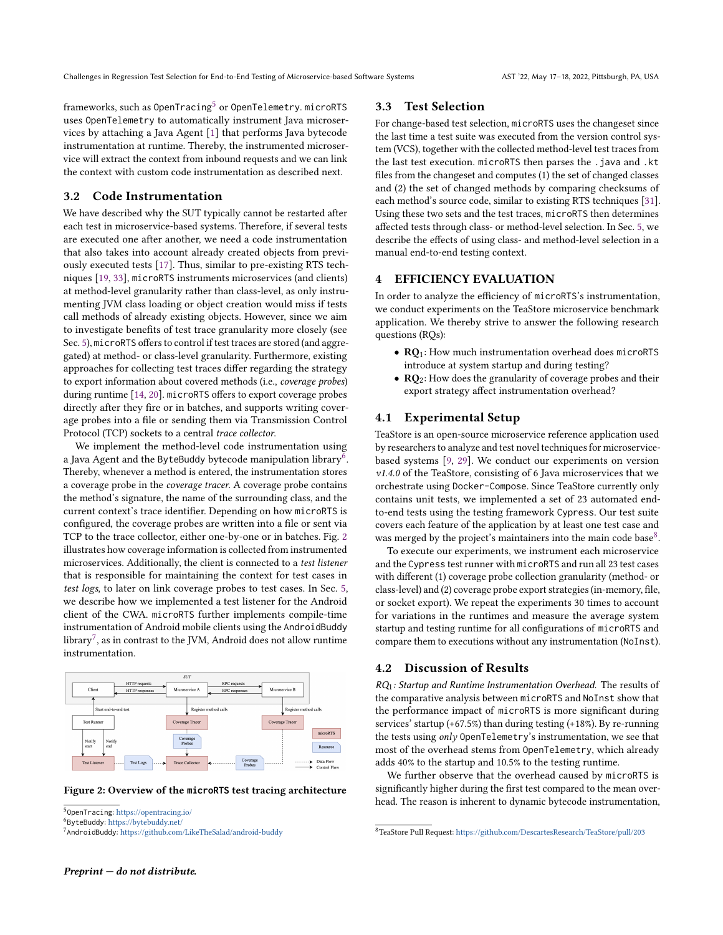Challenges in Regression Test Selection for End-to-End Testing of Microservice-based Software Systems AST '22, May 17–18, 2022, Pittsburgh, PA, USA

frameworks, such as OpenTracing<sup>[5](#page-2-0)</sup> or OpenTelemetry. microRTS uses OpenTelemetry to automatically instrument Java microservices by attaching a Java Agent [\[1\]](#page-4-29) that performs Java bytecode instrumentation at runtime. Thereby, the instrumented microservice will extract the context from inbound requests and we can link the context with custom code instrumentation as described next.

#### <span id="page-2-5"></span>3.2 Code Instrumentation

We have described why the SUT typically cannot be restarted after each test in microservice-based systems. Therefore, if several tests are executed one after another, we need a code instrumentation that also takes into account already created objects from previously executed tests [\[17\]](#page-4-13). Thus, similar to pre-existing RTS techniques [\[19,](#page-4-21) [33\]](#page-4-9), microRTS instruments microservices (and clients) at method-level granularity rather than class-level, as only instrumenting JVM class loading or object creation would miss if tests call methods of already existing objects. However, since we aim to investigate benefits of test trace granularity more closely (see Sec. [5\)](#page-3-0), microRTS offers to control if test traces are stored (and aggregated) at method- or class-level granularity. Furthermore, existing approaches for collecting test traces differ regarding the strategy to export information about covered methods (i.e., coverage probes) during runtime [\[14,](#page-4-30) [20\]](#page-4-31). microRTS offers to export coverage probes directly after they fire or in batches, and supports writing coverage probes into a file or sending them via Transmission Control Protocol (TCP) sockets to a central trace collector.

We implement the method-level code instrumentation using a Java Agent and the ByteBuddy bytecode manipulation library $^{\bar{b}}.$ Thereby, whenever a method is entered, the instrumentation stores a coverage probe in the coverage tracer. A coverage probe contains the method's signature, the name of the surrounding class, and the current context's trace identifier. Depending on how microRTS is configured, the coverage probes are written into a file or sent via TCP to the trace collector, either one-by-one or in batches. Fig. [2](#page-2-2) illustrates how coverage information is collected from instrumented microservices. Additionally, the client is connected to a test listener that is responsible for maintaining the context for test cases in test logs, to later on link coverage probes to test cases. In Sec. [5,](#page-3-0) we describe how we implemented a test listener for the Android client of the CWA. microRTS further implements compile-time instrumentation of Android mobile clients using the AndroidBuddy library $^7$  $^7$ , as in contrast to the JVM, Android does not allow runtime instrumentation.

<span id="page-2-2"></span>

Figure 2: Overview of the **microRTS** test tracing architecture

#### 3.3 Test Selection

For change-based test selection, microRTS uses the changeset since the last time a test suite was executed from the version control system (VCS), together with the collected method-level test traces from the last test execution. microRTS then parses the .java and .kt files from the changeset and computes (1) the set of changed classes and (2) the set of changed methods by comparing checksums of each method's source code, similar to existing RTS techniques [\[31\]](#page-4-8). Using these two sets and the test traces, microRTS then determines affected tests through class- or method-level selection. In Sec. [5,](#page-3-0) we describe the effects of using class- and method-level selection in a manual end-to-end testing context.

## 4 EFFICIENCY EVALUATION

In order to analyze the efficiency of microRTS's instrumentation, we conduct experiments on the TeaStore microservice benchmark application. We thereby strive to answer the following research questions (RQs):

- RQ<sub>1</sub>: How much instrumentation overhead does microRTS introduce at system startup and during testing?
- RQ<sub>2</sub>: How does the granularity of coverage probes and their export strategy affect instrumentation overhead?

## 4.1 Experimental Setup

TeaStore is an open-source microservice reference application used by researchers to analyze and test novel techniques for microservicebased systems [\[9,](#page-4-32) [29\]](#page-4-26). We conduct our experiments on version v1.4.0 of the TeaStore, consisting of 6 Java microservices that we orchestrate using Docker-Compose. Since TeaStore currently only contains unit tests, we implemented a set of 23 automated endto-end tests using the testing framework Cypress. Our test suite covers each feature of the application by at least one test case and was merged by the project's maintainers into the main code base<sup>[8](#page-2-4)</sup>.

To execute our experiments, we instrument each microservice and the Cypress test runner with microRTS and run all 23 test cases with different (1) coverage probe collection granularity (method- or class-level) and (2) coverage probe export strategies (in-memory, file, or socket export). We repeat the experiments 30 times to account for variations in the runtimes and measure the average system startup and testing runtime for all configurations of microRTS and compare them to executions without any instrumentation (NoInst).

#### 4.2 Discussion of Results

 $RQ_1$ : Startup and Runtime Instrumentation Overhead. The results of the comparative analysis between microRTS and NoInst show that the performance impact of microRTS is more significant during services' startup (+67.5%) than during testing (+18%). By re-running the tests using only OpenTelemetry's instrumentation, we see that most of the overhead stems from OpenTelemetry, which already adds 40% to the startup and 10.5% to the testing runtime.

We further observe that the overhead caused by microRTS is significantly higher during the first test compared to the mean overhead. The reason is inherent to dynamic bytecode instrumentation,

<span id="page-2-0"></span><sup>5</sup> OpenTracing: <https://opentracing.io/>

<span id="page-2-1"></span><sup>6</sup> ByteBuddy: <https://bytebuddy.net/>

<span id="page-2-3"></span><sup>7</sup> AndroidBuddy: <https://github.com/LikeTheSalad/android-buddy>

<span id="page-2-4"></span><sup>8</sup>TeaStore Pull Request: <https://github.com/DescartesResearch/TeaStore/pull/203>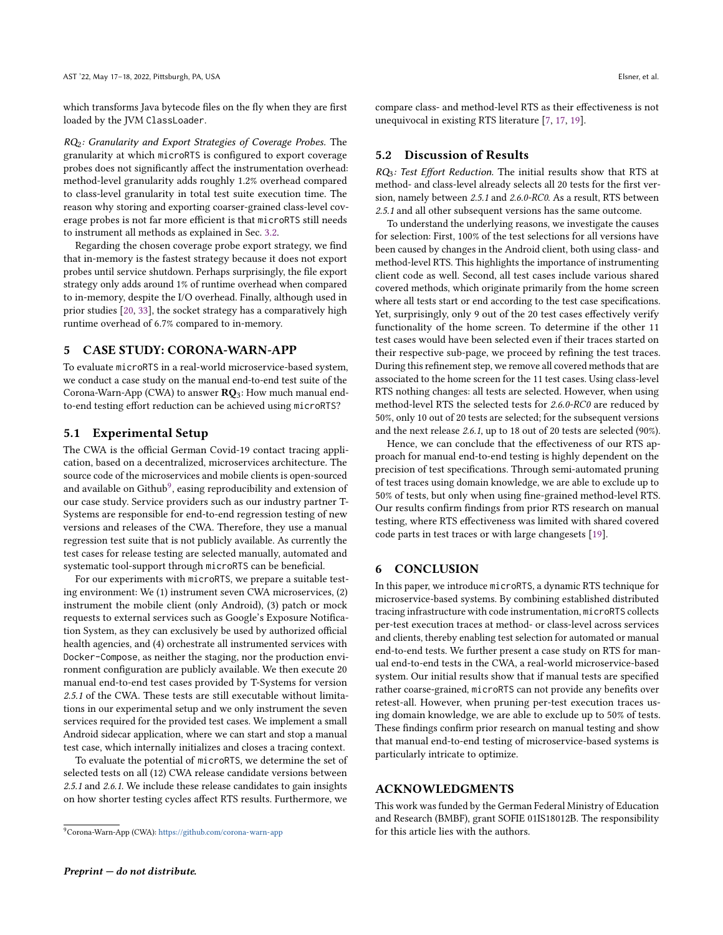which transforms Java bytecode files on the fly when they are first loaded by the JVM ClassLoader.

RQ2: Granularity and Export Strategies of Coverage Probes. The granularity at which microRTS is configured to export coverage probes does not significantly affect the instrumentation overhead: method-level granularity adds roughly 1.2% overhead compared to class-level granularity in total test suite execution time. The reason why storing and exporting coarser-grained class-level coverage probes is not far more efficient is that microRTS still needs to instrument all methods as explained in Sec. [3.2.](#page-2-5)

Regarding the chosen coverage probe export strategy, we find that in-memory is the fastest strategy because it does not export probes until service shutdown. Perhaps surprisingly, the file export strategy only adds around 1% of runtime overhead when compared to in-memory, despite the I/O overhead. Finally, although used in prior studies [\[20,](#page-4-31) [33\]](#page-4-9), the socket strategy has a comparatively high runtime overhead of 6.7% compared to in-memory.

## <span id="page-3-0"></span>5 CASE STUDY: CORONA-WARN-APP

To evaluate microRTS in a real-world microservice-based system, we conduct a case study on the manual end-to-end test suite of the Corona-Warn-App (CWA) to answer  $RQ_3$ : How much manual endto-end testing effort reduction can be achieved using microRTS?

#### 5.1 Experimental Setup

The CWA is the official German Covid-19 contact tracing application, based on a decentralized, microservices architecture. The source code of the microservices and mobile clients is open-sourced and available on Github $^9$  $^9$ , easing reproducibility and extension of our case study. Service providers such as our industry partner T-Systems are responsible for end-to-end regression testing of new versions and releases of the CWA. Therefore, they use a manual regression test suite that is not publicly available. As currently the test cases for release testing are selected manually, automated and systematic tool-support through microRTS can be beneficial.

For our experiments with microRTS, we prepare a suitable testing environment: We (1) instrument seven CWA microservices, (2) instrument the mobile client (only Android), (3) patch or mock requests to external services such as Google's Exposure Notification System, as they can exclusively be used by authorized official health agencies, and (4) orchestrate all instrumented services with Docker-Compose, as neither the staging, nor the production environment configuration are publicly available. We then execute 20 manual end-to-end test cases provided by T-Systems for version 2.5.1 of the CWA. These tests are still executable without limitations in our experimental setup and we only instrument the seven services required for the provided test cases. We implement a small Android sidecar application, where we can start and stop a manual test case, which internally initializes and closes a tracing context.

To evaluate the potential of microRTS, we determine the set of selected tests on all (12) CWA release candidate versions between 2.5.1 and 2.6.1. We include these release candidates to gain insights on how shorter testing cycles affect RTS results. Furthermore, we

compare class- and method-level RTS as their effectiveness is not unequivocal in existing RTS literature [\[7,](#page-4-4) [17,](#page-4-13) [19\]](#page-4-21).

### 5.2 Discussion of Results

 $RO_3$ : Test Effort Reduction. The initial results show that RTS at method- and class-level already selects all 20 tests for the first version, namely between 2.5.1 and 2.6.0-RC0. As a result, RTS between 2.5.1 and all other subsequent versions has the same outcome.

To understand the underlying reasons, we investigate the causes for selection: First, 100% of the test selections for all versions have been caused by changes in the Android client, both using class- and method-level RTS. This highlights the importance of instrumenting client code as well. Second, all test cases include various shared covered methods, which originate primarily from the home screen where all tests start or end according to the test case specifications. Yet, surprisingly, only 9 out of the 20 test cases effectively verify functionality of the home screen. To determine if the other 11 test cases would have been selected even if their traces started on their respective sub-page, we proceed by refining the test traces. During this refinement step, we remove all covered methods that are associated to the home screen for the 11 test cases. Using class-level RTS nothing changes: all tests are selected. However, when using method-level RTS the selected tests for 2.6.0-RC0 are reduced by 50%, only 10 out of 20 tests are selected; for the subsequent versions and the next release 2.6.1, up to 18 out of 20 tests are selected (90%).

Hence, we can conclude that the effectiveness of our RTS approach for manual end-to-end testing is highly dependent on the precision of test specifications. Through semi-automated pruning of test traces using domain knowledge, we are able to exclude up to 50% of tests, but only when using fine-grained method-level RTS. Our results confirm findings from prior RTS research on manual testing, where RTS effectiveness was limited with shared covered code parts in test traces or with large changesets [\[19\]](#page-4-21).

### 6 CONCLUSION

In this paper, we introduce microRTS, a dynamic RTS technique for microservice-based systems. By combining established distributed tracing infrastructure with code instrumentation, microRTS collects per-test execution traces at method- or class-level across services and clients, thereby enabling test selection for automated or manual end-to-end tests. We further present a case study on RTS for manual end-to-end tests in the CWA, a real-world microservice-based system. Our initial results show that if manual tests are specified rather coarse-grained, microRTS can not provide any benefits over retest-all. However, when pruning per-test execution traces using domain knowledge, we are able to exclude up to 50% of tests. These findings confirm prior research on manual testing and show that manual end-to-end testing of microservice-based systems is particularly intricate to optimize.

### ACKNOWLEDGMENTS

This work was funded by the German Federal Ministry of Education and Research (BMBF), grant SOFIE 01IS18012B. The responsibility for this article lies with the authors.

<span id="page-3-1"></span><sup>9</sup>Corona-Warn-App (CWA): <https://github.com/corona-warn-app>